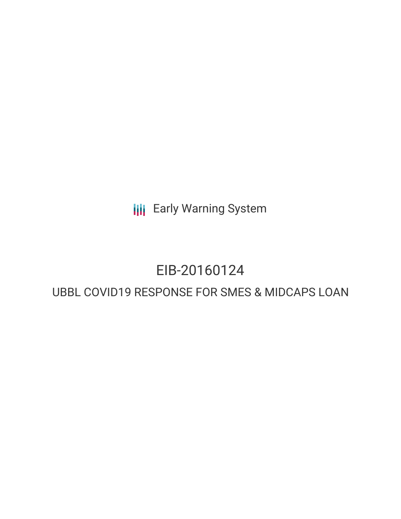**III** Early Warning System

# EIB-20160124

# UBBL COVID19 RESPONSE FOR SMES & MIDCAPS LOAN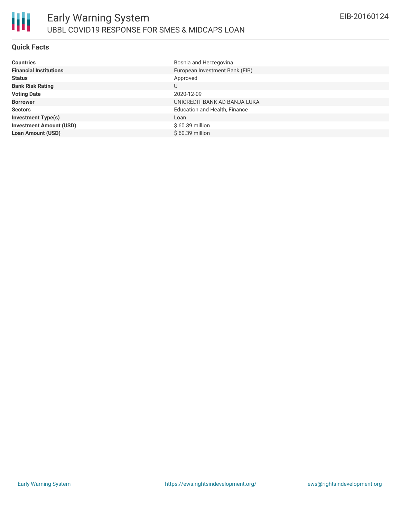### **Quick Facts**

| <b>Countries</b>               | Bosnia and Herzegovina         |
|--------------------------------|--------------------------------|
| <b>Financial Institutions</b>  | European Investment Bank (EIB) |
| <b>Status</b>                  | Approved                       |
| <b>Bank Risk Rating</b>        | U                              |
| <b>Voting Date</b>             | 2020-12-09                     |
| <b>Borrower</b>                | UNICREDIT BANK AD BANJA LUKA   |
| <b>Sectors</b>                 | Education and Health, Finance  |
| <b>Investment Type(s)</b>      | Loan                           |
| <b>Investment Amount (USD)</b> | $$60.39$ million               |
| <b>Loan Amount (USD)</b>       | $$60.39$ million               |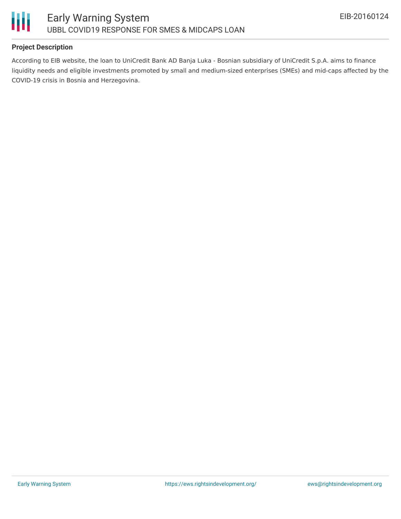

#### **Project Description**

According to EIB website, the loan to UniCredit Bank AD Banja Luka - Bosnian subsidiary of UniCredit S.p.A. aims to finance liquidity needs and eligible investments promoted by small and medium-sized enterprises (SMEs) and mid-caps affected by the COVID-19 crisis in Bosnia and Herzegovina.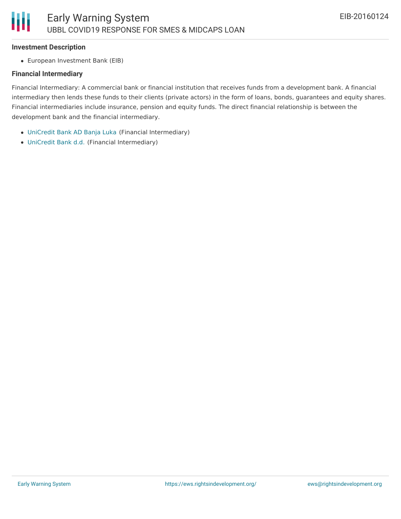#### **Investment Description**

Ш

European Investment Bank (EIB)

#### **Financial Intermediary**

Financial Intermediary: A commercial bank or financial institution that receives funds from a development bank. A financial intermediary then lends these funds to their clients (private actors) in the form of loans, bonds, guarantees and equity shares. Financial intermediaries include insurance, pension and equity funds. The direct financial relationship is between the development bank and the financial intermediary.

- [UniCredit](file:///actor/3664/) Bank AD Banja Luka (Financial Intermediary)
- [UniCredit](file:///actor/1980/) Bank d.d. (Financial Intermediary)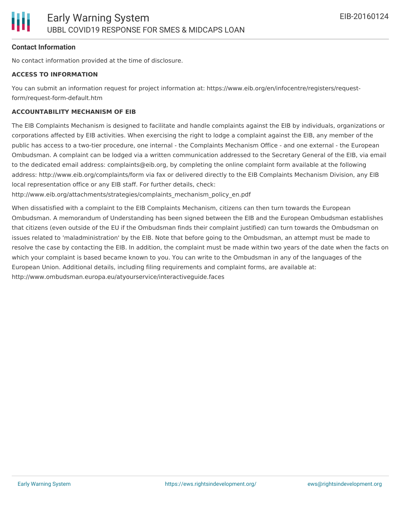#### **Contact Information**

No contact information provided at the time of disclosure.

#### **ACCESS TO INFORMATION**

You can submit an information request for project information at: https://www.eib.org/en/infocentre/registers/requestform/request-form-default.htm

#### **ACCOUNTABILITY MECHANISM OF EIB**

The EIB Complaints Mechanism is designed to facilitate and handle complaints against the EIB by individuals, organizations or corporations affected by EIB activities. When exercising the right to lodge a complaint against the EIB, any member of the public has access to a two-tier procedure, one internal - the Complaints Mechanism Office - and one external - the European Ombudsman. A complaint can be lodged via a written communication addressed to the Secretary General of the EIB, via email to the dedicated email address: complaints@eib.org, by completing the online complaint form available at the following address: http://www.eib.org/complaints/form via fax or delivered directly to the EIB Complaints Mechanism Division, any EIB local representation office or any EIB staff. For further details, check:

http://www.eib.org/attachments/strategies/complaints\_mechanism\_policy\_en.pdf

When dissatisfied with a complaint to the EIB Complaints Mechanism, citizens can then turn towards the European Ombudsman. A memorandum of Understanding has been signed between the EIB and the European Ombudsman establishes that citizens (even outside of the EU if the Ombudsman finds their complaint justified) can turn towards the Ombudsman on issues related to 'maladministration' by the EIB. Note that before going to the Ombudsman, an attempt must be made to resolve the case by contacting the EIB. In addition, the complaint must be made within two years of the date when the facts on which your complaint is based became known to you. You can write to the Ombudsman in any of the languages of the European Union. Additional details, including filing requirements and complaint forms, are available at: http://www.ombudsman.europa.eu/atyourservice/interactiveguide.faces